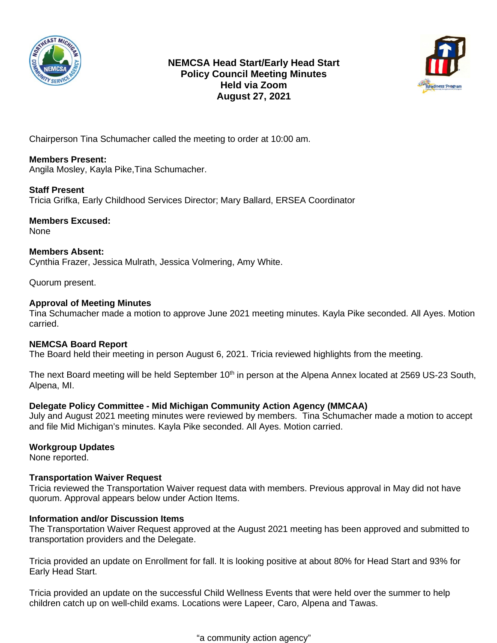

# **NEMCSA Head Start/Early Head Start Policy Council Meeting Minutes Held via Zoom August 27, 2021**



Chairperson Tina Schumacher called the meeting to order at 10:00 am.

## **Members Present:**

Angila Mosley, Kayla Pike,Tina Schumacher.

#### **Staff Present**

Tricia Grifka, Early Childhood Services Director; Mary Ballard, ERSEA Coordinator

**Members Excused:** None

**Members Absent:** Cynthia Frazer, Jessica Mulrath, Jessica Volmering, Amy White.

Quorum present.

#### **Approval of Meeting Minutes**

Tina Schumacher made a motion to approve June 2021 meeting minutes. Kayla Pike seconded. All Ayes. Motion carried.

### **NEMCSA Board Report**

The Board held their meeting in person August 6, 2021. Tricia reviewed highlights from the meeting.

The next Board meeting will be held September 10<sup>th</sup> in person at the Alpena Annex located at 2569 US-23 South, Alpena, MI.

### **Delegate Policy Committee - Mid Michigan Community Action Agency (MMCAA)**

July and August 2021 meeting minutes were reviewed by members. Tina Schumacher made a motion to accept and file Mid Michigan's minutes. Kayla Pike seconded. All Ayes. Motion carried.

### **Workgroup Updates**

None reported.

### **Transportation Waiver Request**

Tricia reviewed the Transportation Waiver request data with members. Previous approval in May did not have quorum. Approval appears below under Action Items.

### **Information and/or Discussion Items**

The Transportation Waiver Request approved at the August 2021 meeting has been approved and submitted to transportation providers and the Delegate.

Tricia provided an update on Enrollment for fall. It is looking positive at about 80% for Head Start and 93% for Early Head Start.

Tricia provided an update on the successful Child Wellness Events that were held over the summer to help children catch up on well-child exams. Locations were Lapeer, Caro, Alpena and Tawas.

"a community action agency"